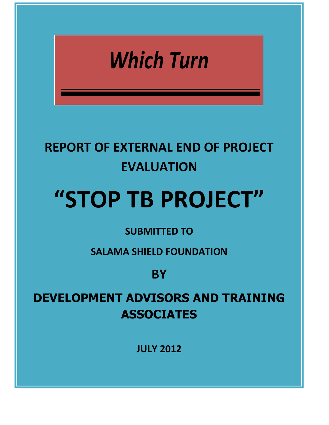## *Which Turn*

## **REPORT OF EXTERNAL END OF PROJECT EVALUATION**

# **"STOP TB PROJECT"**

## **SUBMITTED TO**

**SALAMA SHIELD FOUNDATION** 

**BY**

**DEVELOPMENT ADVISORS AND TRAINING ASSOCIATES**

**JULY 2012**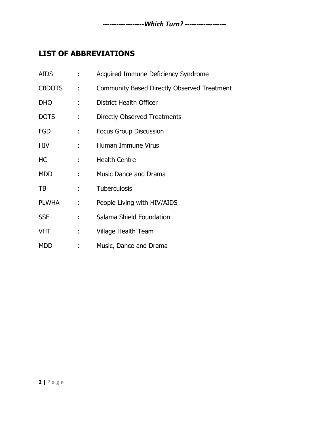## <span id="page-1-0"></span>**LIST OF ABBREVIATIONS**

| <b>AIDS</b>   |              | Acquired Immune Deficiency Syndrome         |
|---------------|--------------|---------------------------------------------|
| <b>CBDOTS</b> | ÷            | Community Based Directly Observed Treatment |
| <b>DHO</b>    | ÷            | District Health Officer                     |
| <b>DOTS</b>   | ÷            | Directly Observed Treatments                |
| <b>FGD</b>    | t.           | <b>Focus Group Discussion</b>               |
| <b>HIV</b>    | ÷            | Human Immune Virus                          |
| HC            | t in         | <b>Health Centre</b>                        |
| <b>MDD</b>    | ÷            | Music Dance and Drama                       |
| TB.           | $\mathbf{1}$ | Tuberculosis                                |
| <b>PLWHA</b>  | ÷.           | People Living with HIV/AIDS                 |
| <b>SSF</b>    |              | Salama Shield Foundation                    |
| <b>VHT</b>    | t,           | Village Health Team                         |
| <b>MDD</b>    |              | Music, Dance and Drama                      |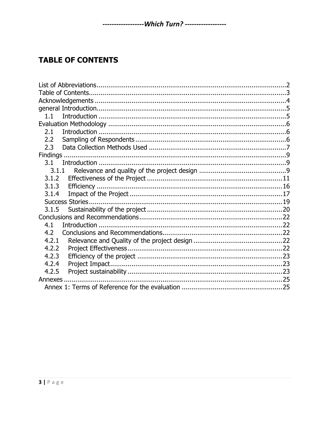## <span id="page-2-0"></span>**TABLE OF CONTENTS**

| 1.1      |  |  |
|----------|--|--|
|          |  |  |
| 2.1      |  |  |
| 2.2      |  |  |
| 2.3      |  |  |
|          |  |  |
| 3.1      |  |  |
| 3.1.1    |  |  |
| 3.1.2    |  |  |
| 3.1.3    |  |  |
| 3.1.4    |  |  |
|          |  |  |
| 3.1.5    |  |  |
|          |  |  |
| 4.1      |  |  |
| 4.2      |  |  |
| 4.2.1    |  |  |
| 4.2.2    |  |  |
| 4.2.3    |  |  |
| 4.2.4    |  |  |
| 4.2.5    |  |  |
| Annexes. |  |  |
|          |  |  |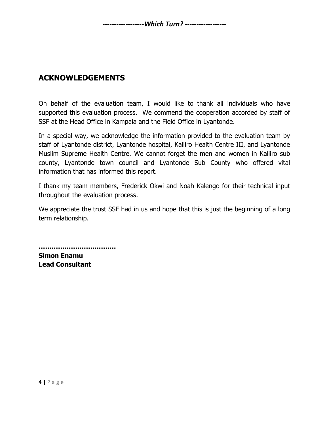## <span id="page-3-0"></span>**ACKNOWLEDGEMENTS**

On behalf of the evaluation team, I would like to thank all individuals who have supported this evaluation process. We commend the cooperation accorded by staff of SSF at the Head Office in Kampala and the Field Office in Lyantonde.

In a special way, we acknowledge the information provided to the evaluation team by staff of Lyantonde district, Lyantonde hospital, Kaliiro Health Centre III, and Lyantonde Muslim Supreme Health Centre. We cannot forget the men and women in Kaliiro sub county, Lyantonde town council and Lyantonde Sub County who offered vital information that has informed this report.

I thank my team members, Frederick Okwi and Noah Kalengo for their technical input throughout the evaluation process.

We appreciate the trust SSF had in us and hope that this is just the beginning of a long term relationship.

**……………………………… Simon Enamu Lead Consultant**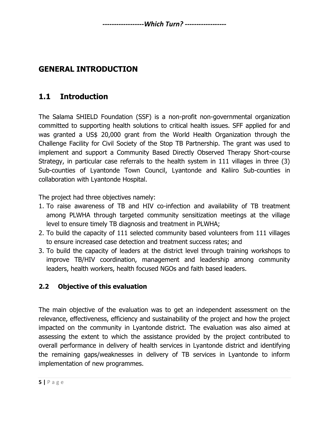## <span id="page-4-0"></span>**GENERAL INTRODUCTION**

## <span id="page-4-1"></span>**1.1 Introduction**

The Salama SHIELD Foundation (SSF) is a non-profit non-governmental organization committed to supporting health solutions to critical health issues. SFF applied for and was granted a US\$ 20,000 grant from the World Health Organization through the Challenge Facility for Civil Society of the Stop TB Partnership. The grant was used to implement and support a Community Based Directly Observed Therapy Short-course Strategy, in particular case referrals to the health system in 111 villages in three (3) Sub-counties of Lyantonde Town Council, Lyantonde and Kaliiro Sub-counties in collaboration with Lyantonde Hospital.

The project had three objectives namely:

- 1. To raise awareness of TB and HIV co-infection and availability of TB treatment among PLWHA through targeted community sensitization meetings at the village level to ensure timely TB diagnosis and treatment in PLWHA;
- 2. To build the capacity of 111 selected community based volunteers from 111 villages to ensure increased case detection and treatment success rates; and
- 3. To build the capacity of leaders at the district level through training workshops to improve TB/HIV coordination, management and leadership among community leaders, health workers, health focused NGOs and faith based leaders.

#### **2.2 Objective of this evaluation**

The main objective of the evaluation was to get an independent assessment on the relevance, effectiveness, efficiency and sustainability of the project and how the project impacted on the community in Lyantonde district. The evaluation was also aimed at assessing the extent to which the assistance provided by the project contributed to overall performance in delivery of health services in Lyantonde district and identifying the remaining gaps/weaknesses in delivery of TB services in Lyantonde to inform implementation of new programmes.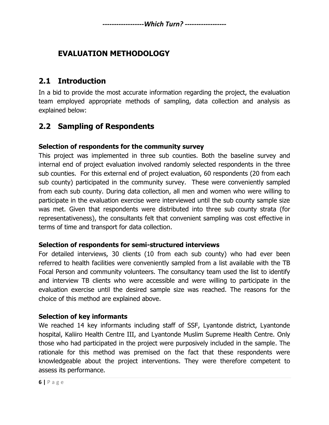## <span id="page-5-0"></span>**EVALUATION METHODOLOGY**

#### <span id="page-5-1"></span>**2.1 Introduction**

In a bid to provide the most accurate information regarding the project, the evaluation team employed appropriate methods of sampling, data collection and analysis as explained below:

#### <span id="page-5-2"></span>**2.2 Sampling of Respondents**

#### **Selection of respondents for the community survey**

This project was implemented in three sub counties. Both the baseline survey and internal end of project evaluation involved randomly selected respondents in the three sub counties. For this external end of project evaluation, 60 respondents (20 from each sub county) participated in the community survey. These were conveniently sampled from each sub county. During data collection, all men and women who were willing to participate in the evaluation exercise were interviewed until the sub county sample size was met. Given that respondents were distributed into three sub county strata (for representativeness), the consultants felt that convenient sampling was cost effective in terms of time and transport for data collection.

#### **Selection of respondents for semi-structured interviews**

For detailed interviews, 30 clients (10 from each sub county) who had ever been referred to health facilities were conveniently sampled from a list available with the TB Focal Person and community volunteers. The consultancy team used the list to identify and interview TB clients who were accessible and were willing to participate in the evaluation exercise until the desired sample size was reached. The reasons for the choice of this method are explained above.

#### **Selection of key informants**

We reached 14 key informants including staff of SSF, Lyantonde district, Lyantonde hospital, Kaliiro Health Centre III, and Lyantonde Muslim Supreme Health Centre. Only those who had participated in the project were purposively included in the sample. The rationale for this method was premised on the fact that these respondents were knowledgeable about the project interventions. They were therefore competent to assess its performance.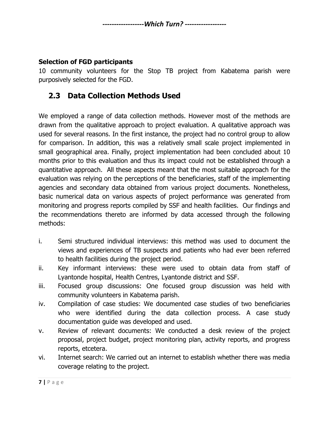#### **Selection of FGD participants**

10 community volunteers for the Stop TB project from Kabatema parish were purposively selected for the FGD.

#### <span id="page-6-0"></span>**2.3 Data Collection Methods Used**

We employed a range of data collection methods. However most of the methods are drawn from the qualitative approach to project evaluation. A qualitative approach was used for several reasons. In the first instance, the project had no control group to allow for comparison. In addition, this was a relatively small scale project implemented in small geographical area. Finally, project implementation had been concluded about 10 months prior to this evaluation and thus its impact could not be established through a quantitative approach. All these aspects meant that the most suitable approach for the evaluation was relying on the perceptions of the beneficiaries, staff of the implementing agencies and secondary data obtained from various project documents. Nonetheless, basic numerical data on various aspects of project performance was generated from monitoring and progress reports compiled by SSF and health facilities. Our findings and the recommendations thereto are informed by data accessed through the following methods:

- i. Semi structured individual interviews: this method was used to document the views and experiences of TB suspects and patients who had ever been referred to health facilities during the project period.
- ii. Key informant interviews: these were used to obtain data from staff of Lyantonde hospital, Health Centres, Lyantonde district and SSF.
- iii. Focused group discussions: One focused group discussion was held with community volunteers in Kabatema parish.
- iv. Compilation of case studies: We documented case studies of two beneficiaries who were identified during the data collection process. A case study documentation guide was developed and used.
- v. Review of relevant documents: We conducted a desk review of the project proposal, project budget, project monitoring plan, activity reports, and progress reports, etcetera.
- vi. Internet search: We carried out an internet to establish whether there was media coverage relating to the project.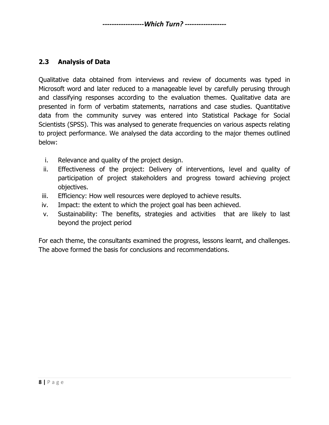#### **2.3 Analysis of Data**

Qualitative data obtained from interviews and review of documents was typed in Microsoft word and later reduced to a manageable level by carefully perusing through and classifying responses according to the evaluation themes. Qualitative data are presented in form of verbatim statements, narrations and case studies. Quantitative data from the community survey was entered into Statistical Package for Social Scientists (SPSS). This was analysed to generate frequencies on various aspects relating to project performance. We analysed the data according to the major themes outlined below:

- i. Relevance and quality of the project design.
- ii. Effectiveness of the project: Delivery of interventions, level and quality of participation of project stakeholders and progress toward achieving project objectives.
- iii. Efficiency: How well resources were deployed to achieve results.
- iv. Impact: the extent to which the project goal has been achieved.
- v. Sustainability: The benefits, strategies and activities that are likely to last beyond the project period

For each theme, the consultants examined the progress, lessons learnt, and challenges. The above formed the basis for conclusions and recommendations.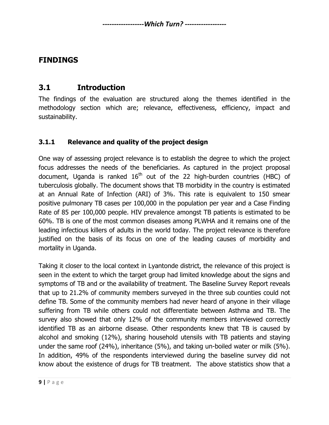#### <span id="page-8-0"></span>**FINDINGS**

#### <span id="page-8-1"></span>**3.1 Introduction**

The findings of the evaluation are structured along the themes identified in the methodology section which are; relevance, effectiveness, efficiency, impact and sustainability.

#### <span id="page-8-2"></span>**3.1.1 Relevance and quality of the project design**

One way of assessing project relevance is to establish the degree to which the project focus addresses the needs of the beneficiaries. As captured in the project proposal document, Uganda is ranked  $16<sup>th</sup>$  out of the 22 high-burden countries (HBC) of tuberculosis globally. The document shows that TB morbidity in the country is estimated at an Annual Rate of Infection (ARI) of 3%. This rate is equivalent to 150 smear positive pulmonary TB cases per 100,000 in the population per year and a Case Finding Rate of 85 per 100,000 people. HIV prevalence amongst TB patients is estimated to be 60%. TB is one of the most common diseases among PLWHA and it remains one of the leading infectious killers of adults in the world today. The project relevance is therefore justified on the basis of its focus on one of the leading causes of morbidity and mortality in Uganda.

Taking it closer to the local context in Lyantonde district, the relevance of this project is seen in the extent to which the target group had limited knowledge about the signs and symptoms of TB and or the availability of treatment. The Baseline Survey Report reveals that up to 21.2% of community members surveyed in the three sub counties could not define TB. Some of the community members had never heard of anyone in their village suffering from TB while others could not differentiate between Asthma and TB. The survey also showed that only 12% of the community members interviewed correctly identified TB as an airborne disease. Other respondents knew that TB is caused by alcohol and smoking (12%), sharing household utensils with TB patients and staying under the same roof (24%), inheritance (5%), and taking un-boiled water or milk (5%). In addition, 49% of the respondents interviewed during the baseline survey did not know about the existence of drugs for TB treatment. The above statistics show that a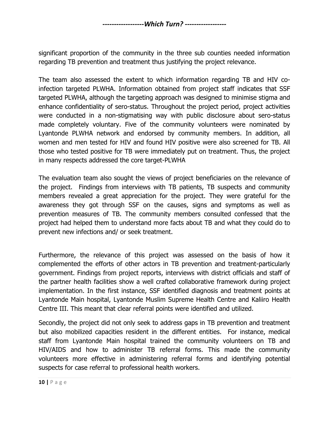significant proportion of the community in the three sub counties needed information regarding TB prevention and treatment thus justifying the project relevance.

The team also assessed the extent to which information regarding TB and HIV coinfection targeted PLWHA. Information obtained from project staff indicates that SSF targeted PLWHA, although the targeting approach was designed to minimise stigma and enhance confidentiality of sero-status. Throughout the project period, project activities were conducted in a non-stigmatising way with public disclosure about sero-status made completely voluntary. Five of the community volunteers were nominated by Lyantonde PLWHA network and endorsed by community members. In addition, all women and men tested for HIV and found HIV positive were also screened for TB. All those who tested positive for TB were immediately put on treatment. Thus, the project in many respects addressed the core target-PLWHA

The evaluation team also sought the views of project beneficiaries on the relevance of the project. Findings from interviews with TB patients, TB suspects and community members revealed a great appreciation for the project. They were grateful for the awareness they got through SSF on the causes, signs and symptoms as well as prevention measures of TB. The community members consulted confessed that the project had helped them to understand more facts about TB and what they could do to prevent new infections and/ or seek treatment.

Furthermore, the relevance of this project was assessed on the basis of how it complemented the efforts of other actors in TB prevention and treatment-particularly government. Findings from project reports, interviews with district officials and staff of the partner health facilities show a well crafted collaborative framework during project implementation. In the first instance, SSF identified diagnosis and treatment points at Lyantonde Main hospital, Lyantonde Muslim Supreme Health Centre and Kaliiro Health Centre III. This meant that clear referral points were identified and utilized.

Secondly, the project did not only seek to address gaps in TB prevention and treatment but also mobilized capacities resident in the different entities. For instance, medical staff from Lyantonde Main hospital trained the community volunteers on TB and HIV/AIDS and how to administer TB referral forms. This made the community volunteers more effective in administering referral forms and identifying potential suspects for case referral to professional health workers.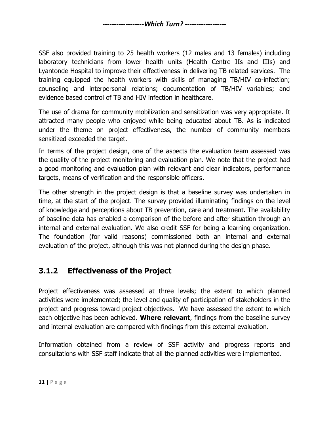SSF also provided training to 25 health workers (12 males and 13 females) including laboratory technicians from lower health units (Health Centre IIs and IIIs) and Lyantonde Hospital to improve their effectiveness in delivering TB related services. The training equipped the health workers with skills of managing TB/HIV co-infection; counseling and interpersonal relations; documentation of TB/HIV variables; and evidence based control of TB and HIV infection in healthcare.

The use of drama for community mobilization and sensitization was very appropriate. It attracted many people who enjoyed while being educated about TB. As is indicated under the theme on project effectiveness, the number of community members sensitized exceeded the target.

In terms of the project design, one of the aspects the evaluation team assessed was the quality of the project monitoring and evaluation plan. We note that the project had a good monitoring and evaluation plan with relevant and clear indicators, performance targets, means of verification and the responsible officers.

The other strength in the project design is that a baseline survey was undertaken in time, at the start of the project. The survey provided illuminating findings on the level of knowledge and perceptions about TB prevention, care and treatment. The availability of baseline data has enabled a comparison of the before and after situation through an internal and external evaluation. We also credit SSF for being a learning organization. The foundation (for valid reasons) commissioned both an internal and external evaluation of the project, although this was not planned during the design phase.

## <span id="page-10-0"></span>**3.1.2 Effectiveness of the Project**

Project effectiveness was assessed at three levels; the extent to which planned activities were implemented; the level and quality of participation of stakeholders in the project and progress toward project objectives. We have assessed the extent to which each objective has been achieved. **Where relevant**, findings from the baseline survey and internal evaluation are compared with findings from this external evaluation.

Information obtained from a review of SSF activity and progress reports and consultations with SSF staff indicate that all the planned activities were implemented.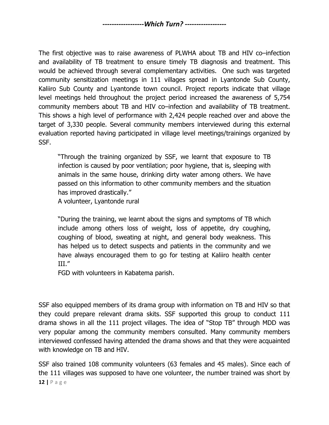The first objective was to raise awareness of PLWHA about TB and HIV co–infection and availability of TB treatment to ensure timely TB diagnosis and treatment. This would be achieved through several complementary activities. One such was targeted community sensitization meetings in 111 villages spread in Lyantonde Sub County, Kaliiro Sub County and Lyantonde town council. Project reports indicate that village level meetings held throughout the project period increased the awareness of 5,754 community members about TB and HIV co–infection and availability of TB treatment. This shows a high level of performance with 2,424 people reached over and above the target of 3,330 people. Several community members interviewed during this external evaluation reported having participated in village level meetings/trainings organized by SSF.

"Through the training organized by SSF, we learnt that exposure to TB infection is caused by poor ventilation; poor hygiene, that is, sleeping with animals in the same house, drinking dirty water among others. We have passed on this information to other community members and the situation has improved drastically."

A volunteer, Lyantonde rural

"During the training, we learnt about the signs and symptoms of TB which include among others loss of weight, loss of appetite, dry coughing, coughing of blood, sweating at night, and general body weakness. This has helped us to detect suspects and patients in the community and we have always encouraged them to go for testing at Kaliiro health center III."

FGD with volunteers in Kabatema parish.

SSF also equipped members of its drama group with information on TB and HIV so that they could prepare relevant drama skits. SSF supported this group to conduct 111 drama shows in all the 111 project villages. The idea of "Stop TB" through MDD was very popular among the community members consulted. Many community members interviewed confessed having attended the drama shows and that they were acquainted with knowledge on TB and HIV.

**12 |** P a g e SSF also trained 108 community volunteers (63 females and 45 males). Since each of the 111 villages was supposed to have one volunteer, the number trained was short by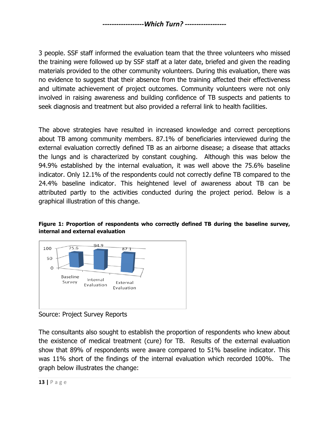3 people. SSF staff informed the evaluation team that the three volunteers who missed the training were followed up by SSF staff at a later date, briefed and given the reading materials provided to the other community volunteers. During this evaluation, there was no evidence to suggest that their absence from the training affected their effectiveness and ultimate achievement of project outcomes. Community volunteers were not only involved in raising awareness and building confidence of TB suspects and patients to seek diagnosis and treatment but also provided a referral link to health facilities.

The above strategies have resulted in increased knowledge and correct perceptions about TB among community members. 87.1% of beneficiaries interviewed during the external evaluation correctly defined TB as an airborne disease; a disease that attacks the lungs and is characterized by constant coughing. Although this was below the 94.9% established by the internal evaluation, it was well above the 75.6% baseline indicator. Only 12.1% of the respondents could not correctly define TB compared to the 24.4% baseline indicator. This heightened level of awareness about TB can be attributed partly to the activities conducted during the project period. Below is a graphical illustration of this change.

#### **Figure 1: Proportion of respondents who correctly defined TB during the baseline survey, internal and external evaluation**



Source: Project Survey Reports

The consultants also sought to establish the proportion of respondents who knew about the existence of medical treatment (cure) for TB. Results of the external evaluation show that 89% of respondents were aware compared to 51% baseline indicator. This was 11% short of the findings of the internal evaluation which recorded 100%. The graph below illustrates the change: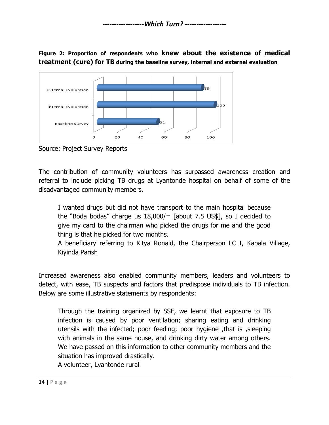**Figure 2: Proportion of respondents who knew about the existence of medical treatment (cure) for TB during the baseline survey, internal and external evaluation**



Source: Project Survey Reports

The contribution of community volunteers has surpassed awareness creation and referral to include picking TB drugs at Lyantonde hospital on behalf of some of the disadvantaged community members.

I wanted drugs but did not have transport to the main hospital because the "Boda bodas" charge us 18,000/= [about 7.5 US\$], so I decided to give my card to the chairman who picked the drugs for me and the good thing is that he picked for two months.

A beneficiary referring to Kitya Ronald, the Chairperson LC I, Kabala Village, Kiyinda Parish

Increased awareness also enabled community members, leaders and volunteers to detect, with ease, TB suspects and factors that predispose individuals to TB infection. Below are some illustrative statements by respondents:

Through the training organized by SSF, we learnt that exposure to TB infection is caused by poor ventilation; sharing eating and drinking utensils with the infected; poor feeding; poor hygiene ,that is ,sleeping with animals in the same house, and drinking dirty water among others. We have passed on this information to other community members and the situation has improved drastically. A volunteer, Lyantonde rural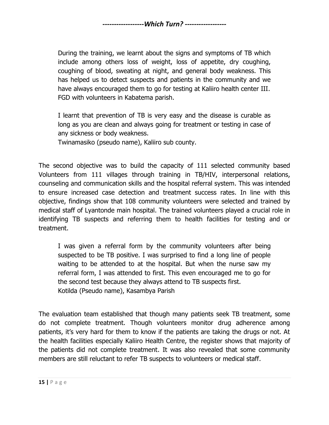During the training, we learnt about the signs and symptoms of TB which include among others loss of weight, loss of appetite, dry coughing, coughing of blood, sweating at night, and general body weakness. This has helped us to detect suspects and patients in the community and we have always encouraged them to go for testing at Kaliiro health center III. FGD with volunteers in Kabatema parish.

I learnt that prevention of TB is very easy and the disease is curable as long as you are clean and always going for treatment or testing in case of any sickness or body weakness.

Twinamasiko (pseudo name), Kaliiro sub county.

The second objective was to build the capacity of 111 selected community based Volunteers from 111 villages through training in TB/HIV, interpersonal relations, counseling and communication skills and the hospital referral system. This was intended to ensure increased case detection and treatment success rates. In line with this objective, findings show that 108 community volunteers were selected and trained by medical staff of Lyantonde main hospital. The trained volunteers played a crucial role in identifying TB suspects and referring them to health facilities for testing and or treatment.

I was given a referral form by the community volunteers after being suspected to be TB positive. I was surprised to find a long line of people waiting to be attended to at the hospital. But when the nurse saw my referral form, I was attended to first. This even encouraged me to go for the second test because they always attend to TB suspects first. Kotilda (Pseudo name), Kasambya Parish

The evaluation team established that though many patients seek TB treatment, some do not complete treatment. Though volunteers monitor drug adherence among patients, it's very hard for them to know if the patients are taking the drugs or not. At the health facilities especially Kaliiro Health Centre, the register shows that majority of the patients did not complete treatment. It was also revealed that some community members are still reluctant to refer TB suspects to volunteers or medical staff.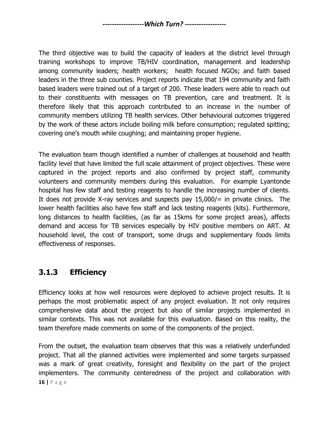The third objective was to build the capacity of leaders at the district level through training workshops to improve TB/HIV coordination, management and leadership among community leaders; health workers; health focused NGOs; and faith based leaders in the three sub counties. Project reports indicate that 194 community and faith based leaders were trained out of a target of 200. These leaders were able to reach out to their constituents with messages on TB prevention, care and treatment. It is therefore likely that this approach contributed to an increase in the number of community members utilizing TB health services. Other behavioural outcomes triggered by the work of these actors include boiling milk before consumption; regulated spitting; covering one's mouth while coughing; and maintaining proper hygiene.

The evaluation team though identified a number of challenges at household and health facility level that have limited the full scale attainment of project objectives. These were captured in the project reports and also confirmed by project staff, community volunteers and community members during this evaluation. For example Lyantonde hospital has few staff and testing reagents to handle the increasing number of clients. It does not provide X-ray services and suspects pay  $15,000/=\text{in}$  private clinics. The lower health facilities also have few staff and lack testing reagents (kits). Furthermore, long distances to health facilities, (as far as 15kms for some project areas), affects demand and access for TB services especially by HIV positive members on ART. At household level, the cost of transport, some drugs and supplementary foods limits effectiveness of responses.

#### <span id="page-15-0"></span>**3.1.3 Efficiency**

Efficiency looks at how well resources were deployed to achieve project results. It is perhaps the most problematic aspect of any project evaluation. It not only requires comprehensive data about the project but also of similar projects implemented in similar contexts. This was not available for this evaluation. Based on this reality, the team therefore made comments on some of the components of the project.

From the outset, the evaluation team observes that this was a relatively underfunded project. That all the planned activities were implemented and some targets surpassed was a mark of great creativity, foresight and flexibility on the part of the project implementers. The community centeredness of the project and collaboration with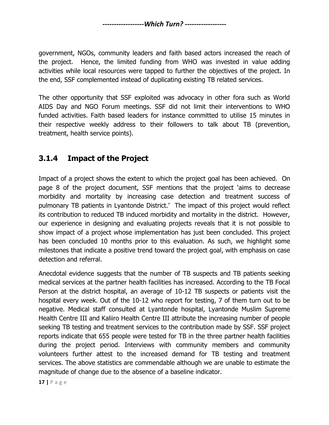government, NGOs, community leaders and faith based actors increased the reach of the project. Hence, the limited funding from WHO was invested in value adding activities while local resources were tapped to further the objectives of the project. In the end, SSF complemented instead of duplicating existing TB related services.

The other opportunity that SSF exploited was advocacy in other fora such as World AIDS Day and NGO Forum meetings. SSF did not limit their interventions to WHO funded activities. Faith based leaders for instance committed to utilise 15 minutes in their respective weekly address to their followers to talk about TB (prevention, treatment, health service points).

#### <span id="page-16-0"></span>**3.1.4 Impact of the Project**

Impact of a project shows the extent to which the project goal has been achieved. On page 8 of the project document, SSF mentions that the project 'aims to decrease morbidity and mortality by increasing case detection and treatment success of pulmonary TB patients in Lyantonde District.' The impact of this project would reflect its contribution to reduced TB induced morbidity and mortality in the district. However, our experience in designing and evaluating projects reveals that it is not possible to show impact of a project whose implementation has just been concluded. This project has been concluded 10 months prior to this evaluation. As such, we highlight some milestones that indicate a positive trend toward the project goal, with emphasis on case detection and referral.

Anecdotal evidence suggests that the number of TB suspects and TB patients seeking medical services at the partner health facilities has increased. According to the TB Focal Person at the district hospital, an average of 10-12 TB suspects or patients visit the hospital every week. Out of the 10-12 who report for testing, 7 of them turn out to be negative. Medical staff consulted at Lyantonde hospital, Lyantonde Muslim Supreme Health Centre III and Kaliiro Health Centre III attribute the increasing number of people seeking TB testing and treatment services to the contribution made by SSF. SSF project reports indicate that 655 people were tested for TB in the three partner health facilities during the project period. Interviews with community members and community volunteers further attest to the increased demand for TB testing and treatment services. The above statistics are commendable although we are unable to estimate the magnitude of change due to the absence of a baseline indicator.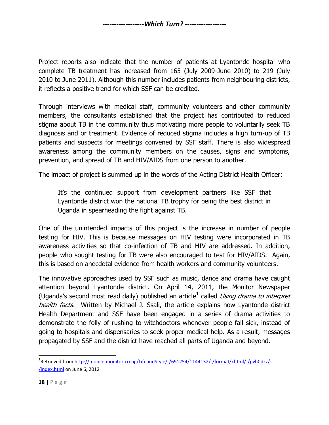Project reports also indicate that the number of patients at Lyantonde hospital who complete TB treatment has increased from 165 (July 2009-June 2010) to 219 (July 2010 to June 2011). Although this number includes patients from neighbouring districts, it reflects a positive trend for which SSF can be credited.

Through interviews with medical staff, community volunteers and other community members, the consultants established that the project has contributed to reduced stigma about TB in the community thus motivating more people to voluntarily seek TB diagnosis and or treatment. Evidence of reduced stigma includes a high turn-up of TB patients and suspects for meetings convened by SSF staff. There is also widespread awareness among the community members on the causes, signs and symptoms, prevention, and spread of TB and HIV/AIDS from one person to another.

The impact of project is summed up in the words of the Acting District Health Officer:

It's the continued support from development partners like SSF that Lyantonde district won the national TB trophy for being the best district in Uganda in spearheading the fight against TB.

One of the unintended impacts of this project is the increase in number of people testing for HIV. This is because messages on HIV testing were incorporated in TB awareness activities so that co-infection of TB and HIV are addressed. In addition, people who sought testing for TB were also encouraged to test for HIV/AIDS. Again, this is based on anecdotal evidence from health workers and community volunteers.

The innovative approaches used by SSF such as music, dance and drama have caught attention beyond Lyantonde district. On April 14, 2011, the Monitor Newspaper (Uganda's second most read daily) published an article**<sup>1</sup>** called Using drama to interpret health facts. Written by Michael J. Ssali, the article explains how Lyantonde district Health Department and SSF have been engaged in a series of drama activities to demonstrate the folly of rushing to witchdoctors whenever people fall sick, instead of going to hospitals and dispensaries to seek proper medical help. As a result, messages propagated by SSF and the district have reached all parts of Uganda and beyond.

 $\overline{\phantom{a}}$ 

<sup>&</sup>lt;sup>1</sup>Retrieved from <u>http://mobile.monitor.co.ug/LifeandStyle/-/691254/1144132/-/format/xhtml/-/pvh0dxz/-</u> [/index.html](http://mobile.monitor.co.ug/LifeandStyle/-/691254/1144132/-/format/xhtml/-/pvh0dxz/-/index.html) on June 6, 2012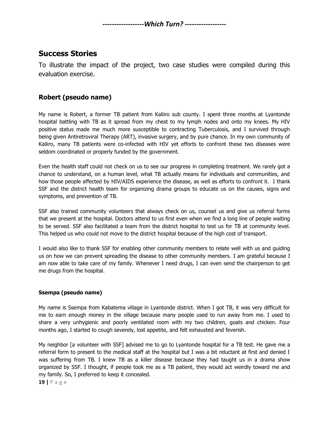#### <span id="page-18-0"></span>**Success Stories**

To illustrate the impact of the project, two case studies were compiled during this evaluation exercise.

#### **Robert (pseudo name)**

My name is Robert, a former TB patient from Kaliiro sub county. I spent three months at Lyantonde hospital battling with TB as it spread from my chest to my lymph nodes and onto my knees. My HIV positive status made me much more susceptible to contracting Tuberculosis, and I survived through being given Antiretroviral Therapy (ART), invasive surgery, and by pure chance. In my own community of Kaliiro, many TB patients were co-infected with HIV yet efforts to confront these two diseases were seldom coordinated or properly funded by the government.

Even the health staff could not check on us to see our progress in completing treatment. We rarely got a chance to understand, on a human level, what TB actually means for individuals and communities, and how those people affected by HIV/AIDS experience the disease, as well as efforts to confront it. I thank SSF and the district health team for organizing drama groups to educate us on the causes, signs and symptoms, and prevention of TB.

SSF also trained community volunteers that always check on us, counsel us and give us referral forms that we present at the hospital. Doctors attend to us first even when we find a long line of people waiting to be served. SSF also facilitated a team from the district hospital to test us for TB at community level. This helped us who could not move to the district hospital because of the high cost of transport.

I would also like to thank SSF for enabling other community members to relate well with us and guiding us on how we can prevent spreading the disease to other community members. I am grateful because I am now able to take care of my family. Whenever I need drugs, I can even send the chairperson to get me drugs from the hospital.

#### **Ssempa (pseudo name)**

My name is Ssempa from Kabatema village in Lyantonde district. When I got TB, it was very difficult for me to earn enough money in the village because many people used to run away from me. I used to share a very unhygienic and poorly ventilated room with my two children, goats and chicken. Four months ago, I started to cough severely, lost appetite, and felt exhausted and feverish.

My neighbor [a volunteer with SSF] advised me to go to Lyantonde hospital for a TB test. He gave me a referral form to present to the medical staff at the hospital but I was a bit reluctant at first and denied I was suffering from TB. I knew TB as a killer disease because they had taught us in a drama show organized by SSF. I thought, if people took me as a TB patient, they would act weirdly toward me and my family. So, I preferred to keep it concealed.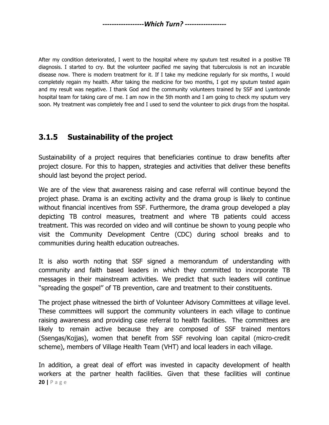After my condition deteriorated, I went to the hospital where my sputum test resulted in a positive TB diagnosis. I started to cry. But the volunteer pacified me saying that tuberculosis is not an incurable disease now. There is modern treatment for it. If I take my medicine regularly for six months, I would completely regain my health. After taking the medicine for two months, I got my sputum tested again and my result was negative. I thank God and the community volunteers trained by SSF and Lyantonde hospital team for taking care of me. I am now in the 5th month and I am going to check my sputum very soon. My treatment was completely free and I used to send the volunteer to pick drugs from the hospital.

#### <span id="page-19-0"></span>**3.1.5 Sustainability of the project**

Sustainability of a project requires that beneficiaries continue to draw benefits after project closure. For this to happen, strategies and activities that deliver these benefits should last beyond the project period.

We are of the view that awareness raising and case referral will continue beyond the project phase. Drama is an exciting activity and the drama group is likely to continue without financial incentives from SSF. Furthermore, the drama group developed a play depicting TB control measures, treatment and where TB patients could access treatment. This was recorded on video and will continue be shown to young people who visit the Community Development Centre (CDC) during school breaks and to communities during health education outreaches.

It is also worth noting that SSF signed a memorandum of understanding with community and faith based leaders in which they committed to incorporate TB messages in their mainstream activities. We predict that such leaders will continue ''spreading the gospel'' of TB prevention, care and treatment to their constituents.

The project phase witnessed the birth of Volunteer Advisory Committees at village level. These committees will support the community volunteers in each village to continue raising awareness and providing case referral to health facilities. The committees are likely to remain active because they are composed of SSF trained mentors (Ssengas/Kojjas), women that benefit from SSF revolving loan capital (micro-credit scheme), members of Village Health Team (VHT) and local leaders in each village.

**20 |** P a g e In addition, a great deal of effort was invested in capacity development of health workers at the partner health facilities. Given that these facilities will continue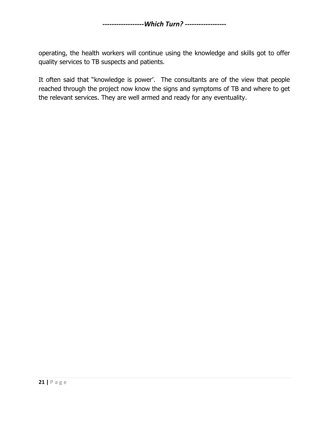operating, the health workers will continue using the knowledge and skills got to offer quality services to TB suspects and patients.

It often said that "knowledge is power'. The consultants are of the view that people reached through the project now know the signs and symptoms of TB and where to get the relevant services. They are well armed and ready for any eventuality.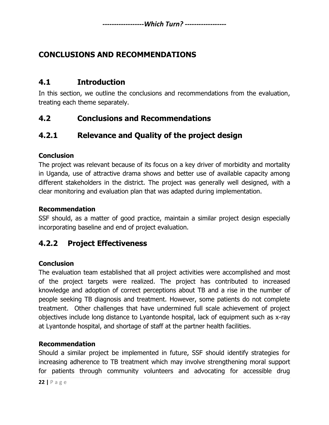#### <span id="page-21-0"></span>**CONCLUSIONS AND RECOMMENDATIONS**

#### <span id="page-21-1"></span>**4.1 Introduction**

In this section, we outline the conclusions and recommendations from the evaluation, treating each theme separately.

#### <span id="page-21-2"></span>**4.2 Conclusions and Recommendations**

#### <span id="page-21-3"></span>**4.2.1 Relevance and Quality of the project design**

#### **Conclusion**

The project was relevant because of its focus on a key driver of morbidity and mortality in Uganda, use of attractive drama shows and better use of available capacity among different stakeholders in the district. The project was generally well designed, with a clear monitoring and evaluation plan that was adapted during implementation.

#### **Recommendation**

SSF should, as a matter of good practice, maintain a similar project design especially incorporating baseline and end of project evaluation.

#### <span id="page-21-4"></span>**4.2.2 Project Effectiveness**

#### **Conclusion**

The evaluation team established that all project activities were accomplished and most of the project targets were realized. The project has contributed to increased knowledge and adoption of correct perceptions about TB and a rise in the number of people seeking TB diagnosis and treatment. However, some patients do not complete treatment. Other challenges that have undermined full scale achievement of project objectives include long distance to Lyantonde hospital, lack of equipment such as x-ray at Lyantonde hospital, and shortage of staff at the partner health facilities.

#### **Recommendation**

Should a similar project be implemented in future, SSF should identify strategies for increasing adherence to TB treatment which may involve strengthening moral support for patients through community volunteers and advocating for accessible drug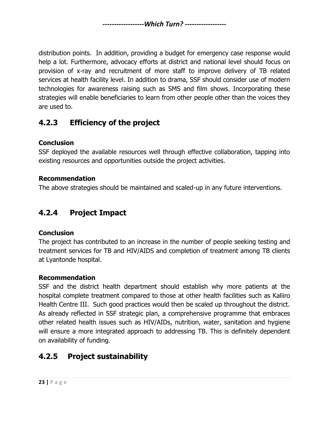distribution points. In addition, providing a budget for emergency case response would help a lot. Furthermore, advocacy efforts at district and national level should focus on provision of x-ray and recruitment of more staff to improve delivery of TB related services at health facility level. In addition to drama, SSF should consider use of modern technologies for awareness raising such as SMS and film shows. Incorporating these strategies will enable beneficiaries to learn from other people other than the voices they are used to.

## <span id="page-22-0"></span>**4.2.3 Efficiency of the project**

#### **Conclusion**

SSF deployed the available resources well through effective collaboration, tapping into existing resources and opportunities outside the project activities.

#### **Recommendation**

The above strategies should be maintained and scaled-up in any future interventions.

## <span id="page-22-1"></span>**4.2.4 Project Impact**

#### **Conclusion**

The project has contributed to an increase in the number of people seeking testing and treatment services for TB and HIV/AIDS and completion of treatment among TB clients at Lyantonde hospital.

#### **Recommendation**

SSF and the district health department should establish why more patients at the hospital complete treatment compared to those at other health facilities such as Kaliiro Health Centre III. Such good practices would then be scaled up throughout the district. As already reflected in SSF strategic plan, a comprehensive programme that embraces other related health issues such as HIV/AIDs, nutrition, water, sanitation and hygiene will ensure a more integrated approach to addressing TB. This is definitely dependent on availability of funding.

## <span id="page-22-2"></span>**4.2.5 Project sustainability**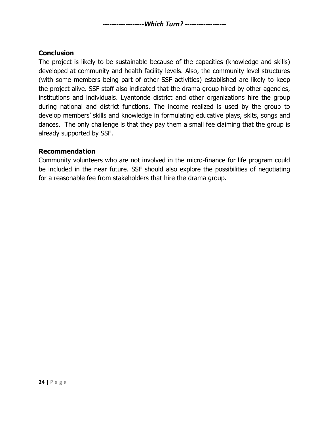#### **Conclusion**

The project is likely to be sustainable because of the capacities (knowledge and skills) developed at community and health facility levels. Also, the community level structures (with some members being part of other SSF activities) established are likely to keep the project alive. SSF staff also indicated that the drama group hired by other agencies, institutions and individuals. Lyantonde district and other organizations hire the group during national and district functions. The income realized is used by the group to develop members' skills and knowledge in formulating educative plays, skits, songs and dances. The only challenge is that they pay them a small fee claiming that the group is already supported by SSF.

#### **Recommendation**

Community volunteers who are not involved in the micro-finance for life program could be included in the near future. SSF should also explore the possibilities of negotiating for a reasonable fee from stakeholders that hire the drama group.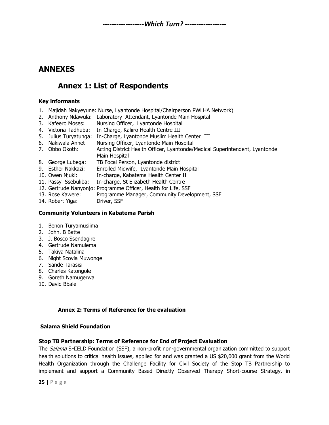#### <span id="page-24-1"></span><span id="page-24-0"></span>**ANNEXES**

#### **Annex 1: List of Respondents**

#### **Key informants**

- 1. Majidah Nakyeyune: Nurse, Lyantonde Hospital/Chairperson PWLHA Network)
- 2. Anthony Ndawula: Laboratory Attendant, Lyantonde Main Hospital
- 3. Kafeero Moses: Nursing Officer, Lyantonde Hospital
- 4. Victoria Tadhuba: In-Charge, Kaliiro Health Centre III
- 5. Julius Turyatunga: In-Charge, Lyantonde Muslim Health Center III
- 6. Nakiwala Annet Nursing Officer, Lyantonde Main Hospital
- 7. Obbo Okoth: Acting District Health Officer, Lyantonde/Medical Superintendent, Lyantonde Main Hospital
- 8. George Lubega: TB Focal Person, Lyantonde district
- 9. Esther Nakkazi: Enrolled Midwife, Lyantonde Main Hospital
- 10. Owen Njuki: In-charge, Kabatema Health Center II
- 11. Passy Ssebuliba: In-charge, St Elizabeth Health Centre
- 12. Gertrude Nanyonjo: Programme Officer, Health for Life, SSF
- 13. Rose Kawere: Programme Manager, Community Development, SSF
- 14. Robert Yiga: Driver, SSF

#### **Community Volunteers in Kabatema Parish**

- 1. Benon Turyamusiima
- 2. John. B Batte
- 3. J. Bosco Ssendagire
- 4. Gertrude Namulema
- 5. Takiya Natalina
- 6. Night Scovia Muwonge
- 7. Sande Tarasisi
- 8. Charles Katongole
- 9. Goreth Namugerwa
- 10. David Bbale

#### **Annex 2: Terms of Reference for the evaluation**

#### **Salama Shield Foundation**

#### **Stop TB Partnership: Terms of Reference for End of Project Evaluation**

The *Salama* SHIELD Foundation (SSF), a non-profit non-governmental organization committed to support health solutions to critical health issues, applied for and was granted a US \$20,000 grant from the World Health Organization through the Challenge Facility for Civil Society of the Stop TB Partnership to implement and support a Community Based Directly Observed Therapy Short-course Strategy, in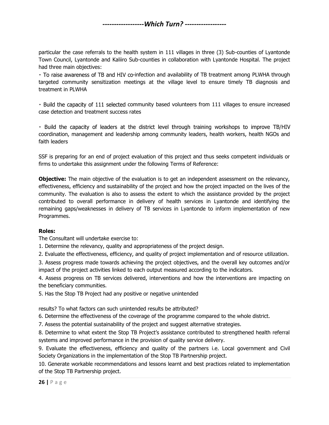particular the case referrals to the health system in 111 villages in three (3) Sub-counties of Lyantonde Town Council, Lyantonde and Kaliiro Sub-counties in collaboration with Lyantonde Hospital. The project had three main objectives:

· To raise awareness of TB and HIV co-infection and availability of TB treatment among PLWHA through targeted community sensitization meetings at the village level to ensure timely TB diagnosis and treatment in PLWHA

· Build the capacity of 111 selected community based volunteers from 111 villages to ensure increased case detection and treatment success rates

. Build the capacity of leaders at the district level through training workshops to improve TB/HIV coordination, management and leadership among community leaders, health workers, health NGOs and faith leaders

SSF is preparing for an end of project evaluation of this project and thus seeks competent individuals or firms to undertake this assignment under the following Terms of Reference:

**Objective:** The main objective of the evaluation is to get an independent assessment on the relevancy, effectiveness, efficiency and sustainability of the project and how the project impacted on the lives of the community. The evaluation is also to assess the extent to which the assistance provided by the project contributed to overall performance in delivery of health services in Lyantonde and identifying the remaining gaps/weaknesses in delivery of TB services in Lyantonde to inform implementation of new Programmes.

#### **Roles:**

The Consultant will undertake exercise to:

1. Determine the relevancy, quality and appropriateness of the project design.

2. Evaluate the effectiveness, efficiency, and quality of project implementation and of resource utilization.

3. Assess progress made towards achieving the project objectives, and the overall key outcomes and/or impact of the project activities linked to each output measured according to the indicators.

4. Assess progress on TB services delivered, interventions and how the interventions are impacting on the beneficiary communities.

5. Has the Stop TB Project had any positive or negative unintended

results? To what factors can such unintended results be attributed?

6. Determine the effectiveness of the coverage of the programme compared to the whole district.

7. Assess the potential sustainability of the project and suggest alternative strategies.

8. Determine to what extent the Stop TB Project's assistance contributed to strengthened health referral systems and improved performance in the provision of quality service delivery.

9. Evaluate the effectiveness, efficiency and quality of the partners i.e. Local government and Civil Society Organizations in the implementation of the Stop TB Partnership project.

10. Generate workable recommendations and lessons learnt and best practices related to implementation of the Stop TB Partnership project.